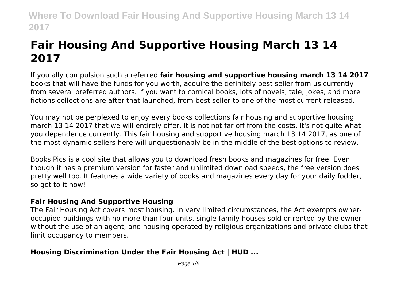# **Fair Housing And Supportive Housing March 13 14 2017**

If you ally compulsion such a referred **fair housing and supportive housing march 13 14 2017** books that will have the funds for you worth, acquire the definitely best seller from us currently from several preferred authors. If you want to comical books, lots of novels, tale, jokes, and more fictions collections are after that launched, from best seller to one of the most current released.

You may not be perplexed to enjoy every books collections fair housing and supportive housing march 13 14 2017 that we will entirely offer. It is not not far off from the costs. It's not quite what you dependence currently. This fair housing and supportive housing march 13 14 2017, as one of the most dynamic sellers here will unquestionably be in the middle of the best options to review.

Books Pics is a cool site that allows you to download fresh books and magazines for free. Even though it has a premium version for faster and unlimited download speeds, the free version does pretty well too. It features a wide variety of books and magazines every day for your daily fodder, so get to it now!

### **Fair Housing And Supportive Housing**

The Fair Housing Act covers most housing. In very limited circumstances, the Act exempts owneroccupied buildings with no more than four units, single-family houses sold or rented by the owner without the use of an agent, and housing operated by religious organizations and private clubs that limit occupancy to members.

### **Housing Discrimination Under the Fair Housing Act | HUD ...**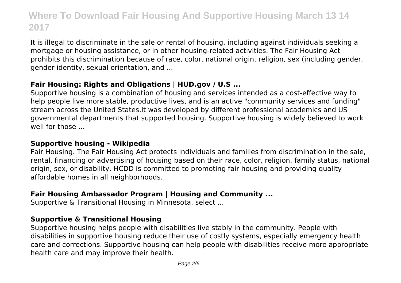It is illegal to discriminate in the sale or rental of housing, including against individuals seeking a mortgage or housing assistance, or in other housing-related activities. The Fair Housing Act prohibits this discrimination because of race, color, national origin, religion, sex (including gender, gender identity, sexual orientation, and ...

### **Fair Housing: Rights and Obligations | HUD.gov / U.S ...**

Supportive housing is a combination of housing and services intended as a cost-effective way to help people live more stable, productive lives, and is an active "community services and funding" stream across the United States.It was developed by different professional academics and US governmental departments that supported housing. Supportive housing is widely believed to work well for those

### **Supportive housing - Wikipedia**

Fair Housing. The Fair Housing Act protects individuals and families from discrimination in the sale, rental, financing or advertising of housing based on their race, color, religion, family status, national origin, sex, or disability. HCDD is committed to promoting fair housing and providing quality affordable homes in all neighborhoods.

### **Fair Housing Ambassador Program | Housing and Community ...**

Supportive & Transitional Housing in Minnesota. select ...

### **Supportive & Transitional Housing**

Supportive housing helps people with disabilities live stably in the community. People with disabilities in supportive housing reduce their use of costly systems, especially emergency health care and corrections. Supportive housing can help people with disabilities receive more appropriate health care and may improve their health.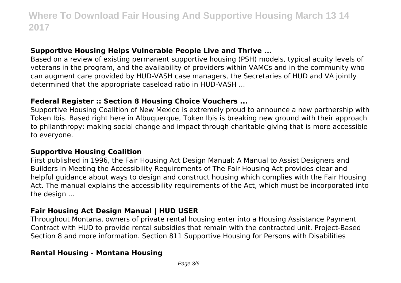### **Supportive Housing Helps Vulnerable People Live and Thrive ...**

Based on a review of existing permanent supportive housing (PSH) models, typical acuity levels of veterans in the program, and the availability of providers within VAMCs and in the community who can augment care provided by HUD-VASH case managers, the Secretaries of HUD and VA jointly determined that the appropriate caseload ratio in HUD-VASH ...

### **Federal Register :: Section 8 Housing Choice Vouchers ...**

Supportive Housing Coalition of New Mexico is extremely proud to announce a new partnership with Token Ibis. Based right here in Albuquerque, Token Ibis is breaking new ground with their approach to philanthropy: making social change and impact through charitable giving that is more accessible to everyone.

### **Supportive Housing Coalition**

First published in 1996, the Fair Housing Act Design Manual: A Manual to Assist Designers and Builders in Meeting the Accessibility Requirements of The Fair Housing Act provides clear and helpful guidance about ways to design and construct housing which complies with the Fair Housing Act. The manual explains the accessibility requirements of the Act, which must be incorporated into the design ...

### **Fair Housing Act Design Manual | HUD USER**

Throughout Montana, owners of private rental housing enter into a Housing Assistance Payment Contract with HUD to provide rental subsidies that remain with the contracted unit. Project-Based Section 8 and more information. Section 811 Supportive Housing for Persons with Disabilities

#### **Rental Housing - Montana Housing**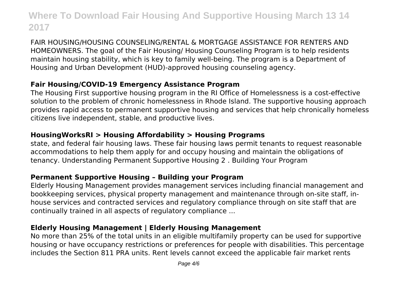FAIR HOUSING/HOUSING COUNSELING/RENTAL & MORTGAGE ASSISTANCE FOR RENTERS AND HOMEOWNERS. The goal of the Fair Housing/ Housing Counseling Program is to help residents maintain housing stability, which is key to family well-being. The program is a Department of Housing and Urban Development (HUD)-approved housing counseling agency.

### **Fair Housing/COVID-19 Emergency Assistance Program**

The Housing First supportive housing program in the RI Office of Homelessness is a cost-effective solution to the problem of chronic homelessness in Rhode Island. The supportive housing approach provides rapid access to permanent supportive housing and services that help chronically homeless citizens live independent, stable, and productive lives.

### **HousingWorksRI > Housing Affordability > Housing Programs**

state, and federal fair housing laws. These fair housing laws permit tenants to request reasonable accommodations to help them apply for and occupy housing and maintain the obligations of tenancy. Understanding Permanent Supportive Housing 2 . Building Your Program

### **Permanent Supportive Housing – Building your Program**

Elderly Housing Management provides management services including financial management and bookkeeping services, physical property management and maintenance through on-site staff, inhouse services and contracted services and regulatory compliance through on site staff that are continually trained in all aspects of regulatory compliance ...

### **Elderly Housing Management | Elderly Housing Management**

No more than 25% of the total units in an eligible multifamily property can be used for supportive housing or have occupancy restrictions or preferences for people with disabilities. This percentage includes the Section 811 PRA units. Rent levels cannot exceed the applicable fair market rents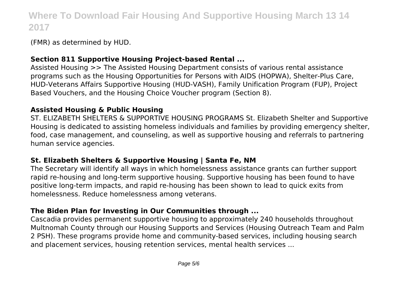(FMR) as determined by HUD.

### **Section 811 Supportive Housing Project-based Rental ...**

Assisted Housing >> The Assisted Housing Department consists of various rental assistance programs such as the Housing Opportunities for Persons with AIDS (HOPWA), Shelter-Plus Care, HUD-Veterans Affairs Supportive Housing (HUD-VASH), Family Unification Program (FUP), Project Based Vouchers, and the Housing Choice Voucher program (Section 8).

### **Assisted Housing & Public Housing**

ST. ELIZABETH SHELTERS & SUPPORTIVE HOUSING PROGRAMS St. Elizabeth Shelter and Supportive Housing is dedicated to assisting homeless individuals and families by providing emergency shelter, food, case management, and counseling, as well as supportive housing and referrals to partnering human service agencies.

### **St. Elizabeth Shelters & Supportive Housing | Santa Fe, NM**

The Secretary will identify all ways in which homelessness assistance grants can further support rapid re-housing and long-term supportive housing. Supportive housing has been found to have positive long-term impacts, and rapid re-housing has been shown to lead to quick exits from homelessness. Reduce homelessness among veterans.

### **The Biden Plan for Investing in Our Communities through ...**

Cascadia provides permanent supportive housing to approximately 240 households throughout Multnomah County through our Housing Supports and Services (Housing Outreach Team and Palm 2 PSH). These programs provide home and community-based services, including housing search and placement services, housing retention services, mental health services ...